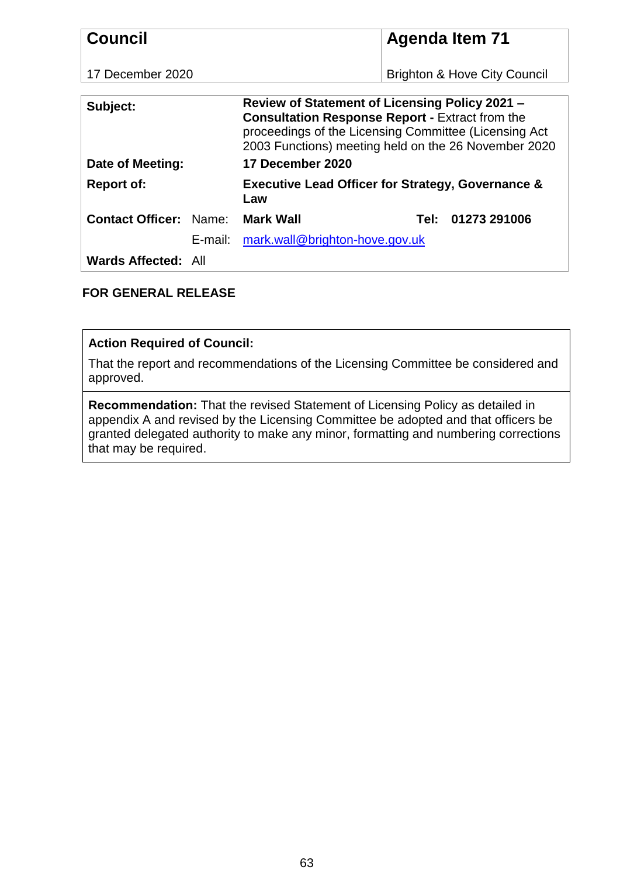| <b>Council</b>                                                                                                                                                                                                                        |                                           | <b>Agenda Item 71</b>                                        |
|---------------------------------------------------------------------------------------------------------------------------------------------------------------------------------------------------------------------------------------|-------------------------------------------|--------------------------------------------------------------|
| 17 December 2020                                                                                                                                                                                                                      |                                           | <b>Brighton &amp; Hove City Council</b>                      |
| Review of Statement of Licensing Policy 2021 -<br>Subject:<br><b>Consultation Response Report - Extract from the</b><br>proceedings of the Licensing Committee (Licensing Act<br>2003 Functions) meeting held on the 26 November 2020 |                                           |                                                              |
| Date of Meeting:                                                                                                                                                                                                                      | 17 December 2020                          |                                                              |
| <b>Report of:</b>                                                                                                                                                                                                                     | Law                                       | <b>Executive Lead Officer for Strategy, Governance &amp;</b> |
| <b>Contact Officer: Name:</b>                                                                                                                                                                                                         | <b>Mark Wall</b>                          | Tel: 01273 291006                                            |
|                                                                                                                                                                                                                                       | mark.wall@brighton-hove.gov.uk<br>E-mail: |                                                              |
| Wards Affected: All                                                                                                                                                                                                                   |                                           |                                                              |

# **FOR GENERAL RELEASE**

# **Action Required of Council:**

That the report and recommendations of the Licensing Committee be considered and approved.

**Recommendation:** That the revised Statement of Licensing Policy as detailed in appendix A and revised by the Licensing Committee be adopted and that officers be granted delegated authority to make any minor, formatting and numbering corrections that may be required.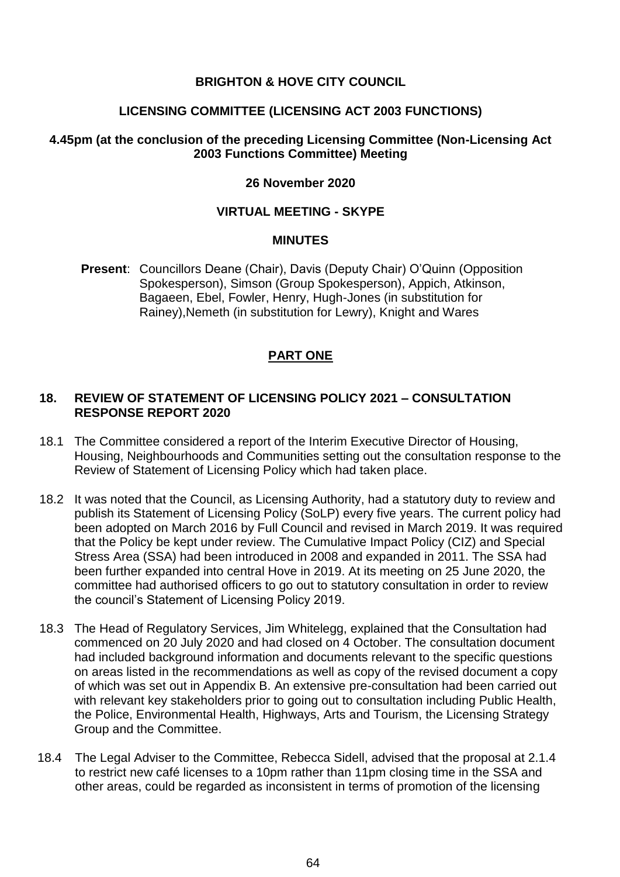## **BRIGHTON & HOVE CITY COUNCIL**

## **LICENSING COMMITTEE (LICENSING ACT 2003 FUNCTIONS)**

# **4.45pm (at the conclusion of the preceding Licensing Committee (Non-Licensing Act 2003 Functions Committee) Meeting**

#### **26 November 2020**

## **VIRTUAL MEETING - SKYPE**

## **MINUTES**

**Present**: Councillors Deane (Chair), Davis (Deputy Chair) O'Quinn (Opposition Spokesperson), Simson (Group Spokesperson), Appich, Atkinson, Bagaeen, Ebel, Fowler, Henry, Hugh-Jones (in substitution for Rainey),Nemeth (in substitution for Lewry), Knight and Wares

# **PART ONE**

#### **18. REVIEW OF STATEMENT OF LICENSING POLICY 2021 – CONSULTATION RESPONSE REPORT 2020**

- 18.1 The Committee considered a report of the Interim Executive Director of Housing, Housing, Neighbourhoods and Communities setting out the consultation response to the Review of Statement of Licensing Policy which had taken place.
- 18.2 It was noted that the Council, as Licensing Authority, had a statutory duty to review and publish its Statement of Licensing Policy (SoLP) every five years. The current policy had been adopted on March 2016 by Full Council and revised in March 2019. It was required that the Policy be kept under review. The Cumulative Impact Policy (CIZ) and Special Stress Area (SSA) had been introduced in 2008 and expanded in 2011. The SSA had been further expanded into central Hove in 2019. At its meeting on 25 June 2020, the committee had authorised officers to go out to statutory consultation in order to review the council's Statement of Licensing Policy 2019.
- 18.3 The Head of Regulatory Services, Jim Whitelegg, explained that the Consultation had commenced on 20 July 2020 and had closed on 4 October. The consultation document had included background information and documents relevant to the specific questions on areas listed in the recommendations as well as copy of the revised document a copy of which was set out in Appendix B. An extensive pre-consultation had been carried out with relevant key stakeholders prior to going out to consultation including Public Health, the Police, Environmental Health, Highways, Arts and Tourism, the Licensing Strategy Group and the Committee.
- 18.4 The Legal Adviser to the Committee, Rebecca Sidell, advised that the proposal at 2.1.4 to restrict new café licenses to a 10pm rather than 11pm closing time in the SSA and other areas, could be regarded as inconsistent in terms of promotion of the licensing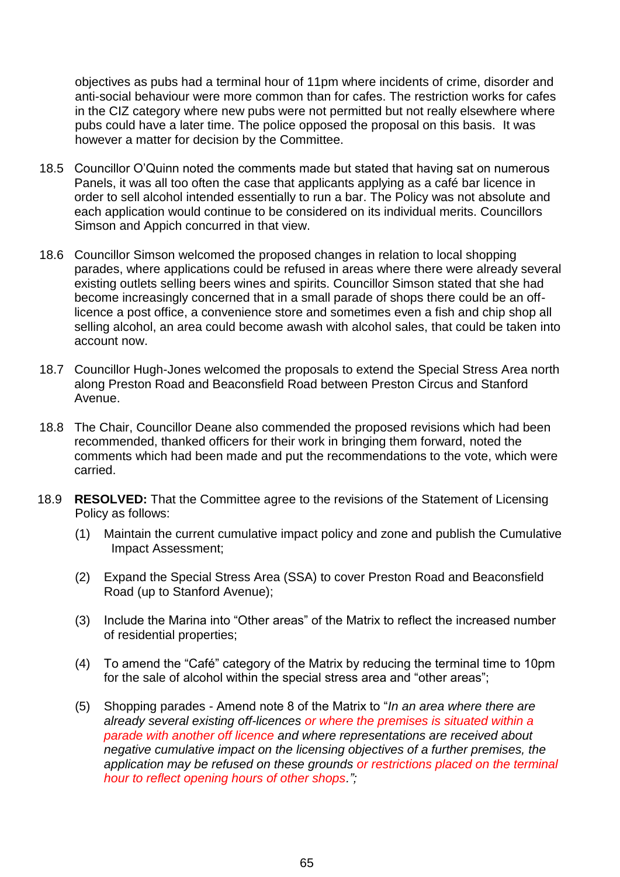objectives as pubs had a terminal hour of 11pm where incidents of crime, disorder and anti-social behaviour were more common than for cafes. The restriction works for cafes in the CIZ category where new pubs were not permitted but not really elsewhere where pubs could have a later time. The police opposed the proposal on this basis. It was however a matter for decision by the Committee.

- 18.5 Councillor O'Quinn noted the comments made but stated that having sat on numerous Panels, it was all too often the case that applicants applying as a café bar licence in order to sell alcohol intended essentially to run a bar. The Policy was not absolute and each application would continue to be considered on its individual merits. Councillors Simson and Appich concurred in that view.
- 18.6 Councillor Simson welcomed the proposed changes in relation to local shopping parades, where applications could be refused in areas where there were already several existing outlets selling beers wines and spirits. Councillor Simson stated that she had become increasingly concerned that in a small parade of shops there could be an offlicence a post office, a convenience store and sometimes even a fish and chip shop all selling alcohol, an area could become awash with alcohol sales, that could be taken into account now.
- 18.7 Councillor Hugh-Jones welcomed the proposals to extend the Special Stress Area north along Preston Road and Beaconsfield Road between Preston Circus and Stanford Avenue.
- 18.8 The Chair, Councillor Deane also commended the proposed revisions which had been recommended, thanked officers for their work in bringing them forward, noted the comments which had been made and put the recommendations to the vote, which were carried.
- 18.9 **RESOLVED:** That the Committee agree to the revisions of the Statement of Licensing Policy as follows:
	- (1) Maintain the current cumulative impact policy and zone and publish the Cumulative Impact Assessment;
	- (2) Expand the Special Stress Area (SSA) to cover Preston Road and Beaconsfield Road (up to Stanford Avenue);
	- (3) Include the Marina into "Other areas" of the Matrix to reflect the increased number of residential properties;
	- (4) To amend the "Café" category of the Matrix by reducing the terminal time to 10pm for the sale of alcohol within the special stress area and "other areas";
	- (5) Shopping parades Amend note 8 of the Matrix to "*In an area where there are already several existing off-licences or where the premises is situated within a parade with another off licence and where representations are received about negative cumulative impact on the licensing objectives of a further premises, the application may be refused on these grounds or restrictions placed on the terminal hour to reflect opening hours of other shops.";*